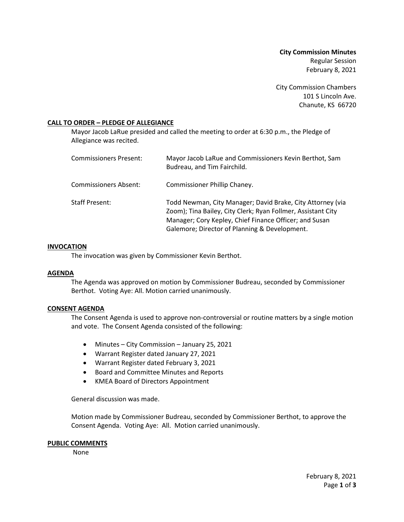**City Commission Minutes** Regular Session February 8, 2021

City Commission Chambers 101 S Lincoln Ave. Chanute, KS 66720

## **CALL TO ORDER – PLEDGE OF ALLEGIANCE**

Mayor Jacob LaRue presided and called the meeting to order at 6:30 p.m., the Pledge of Allegiance was recited.

| Commissioners Present: | Mayor Jacob LaRue and Commissioners Kevin Berthot, Sam<br>Budreau, and Tim Fairchild.                                                                                                                                                 |
|------------------------|---------------------------------------------------------------------------------------------------------------------------------------------------------------------------------------------------------------------------------------|
| Commissioners Absent:  | Commissioner Phillip Chaney.                                                                                                                                                                                                          |
| Staff Present:         | Todd Newman, City Manager; David Brake, City Attorney (via<br>Zoom); Tina Bailey, City Clerk; Ryan Follmer, Assistant City<br>Manager; Cory Kepley, Chief Finance Officer; and Susan<br>Galemore; Director of Planning & Development. |

#### **INVOCATION**

The invocation was given by Commissioner Kevin Berthot.

#### **AGENDA**

The Agenda was approved on motion by Commissioner Budreau, seconded by Commissioner Berthot. Voting Aye: All. Motion carried unanimously.

#### **CONSENT AGENDA**

The Consent Agenda is used to approve non-controversial or routine matters by a single motion and vote. The Consent Agenda consisted of the following:

- Minutes City Commission January 25, 2021
- Warrant Register dated January 27, 2021
- Warrant Register dated February 3, 2021
- Board and Committee Minutes and Reports
- KMEA Board of Directors Appointment

General discussion was made.

Motion made by Commissioner Budreau, seconded by Commissioner Berthot, to approve the Consent Agenda. Voting Aye: All. Motion carried unanimously.

#### **PUBLIC COMMENTS**

None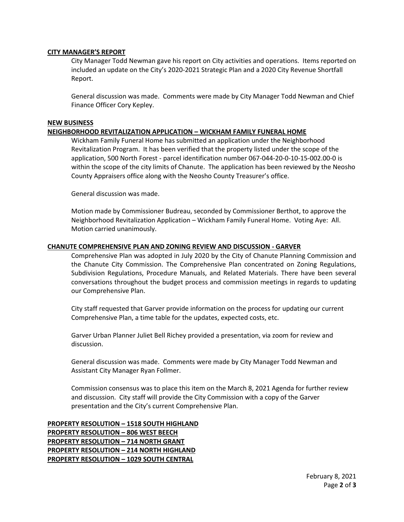## **CITY MANAGER'S REPORT**

City Manager Todd Newman gave his report on City activities and operations. Items reported on included an update on the City's 2020-2021 Strategic Plan and a 2020 City Revenue Shortfall Report.

General discussion was made. Comments were made by City Manager Todd Newman and Chief Finance Officer Cory Kepley.

## **NEW BUSINESS**

## **NEIGHBORHOOD REVITALIZATION APPLICATION – WICKHAM FAMILY FUNERAL HOME**

Wickham Family Funeral Home has submitted an application under the Neighborhood Revitalization Program. It has been verified that the property listed under the scope of the application, 500 North Forest - parcel identification number 067-044-20-0-10-15-002.00-0 is within the scope of the city limits of Chanute. The application has been reviewed by the Neosho County Appraisers office along with the Neosho County Treasurer's office.

General discussion was made.

Motion made by Commissioner Budreau, seconded by Commissioner Berthot, to approve the Neighborhood Revitalization Application – Wickham Family Funeral Home. Voting Aye: All. Motion carried unanimously.

## **CHANUTE COMPREHENSIVE PLAN AND ZONING REVIEW AND DISCUSSION - GARVER**

Comprehensive Plan was adopted in July 2020 by the City of Chanute Planning Commission and the Chanute City Commission. The Comprehensive Plan concentrated on Zoning Regulations, Subdivision Regulations, Procedure Manuals, and Related Materials. There have been several conversations throughout the budget process and commission meetings in regards to updating our Comprehensive Plan.

City staff requested that Garver provide information on the process for updating our current Comprehensive Plan, a time table for the updates, expected costs, etc.

Garver Urban Planner Juliet Bell Richey provided a presentation, via zoom for review and discussion.

General discussion was made. Comments were made by City Manager Todd Newman and Assistant City Manager Ryan Follmer.

Commission consensus was to place this item on the March 8, 2021 Agenda for further review and discussion. City staff will provide the City Commission with a copy of the Garver presentation and the City's current Comprehensive Plan.

**PROPERTY RESOLUTION – 1518 SOUTH HIGHLAND PROPERTY RESOLUTION – 806 WEST BEECH PROPERTY RESOLUTION – 714 NORTH GRANT PROPERTY RESOLUTION – 214 NORTH HIGHLAND PROPERTY RESOLUTION – 1029 SOUTH CENTRAL**